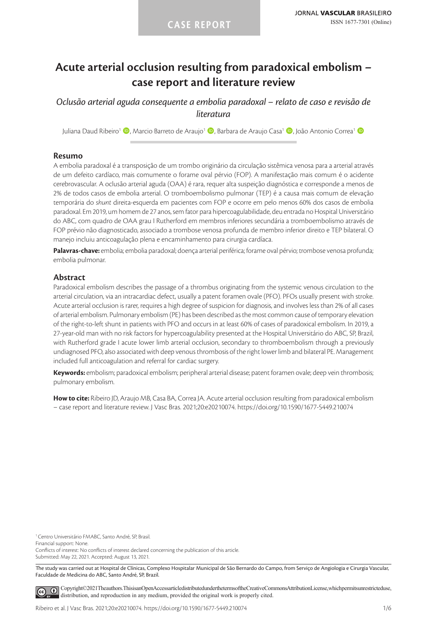# **Acute arterial occlusion resulting from paradoxical embolism – case report and literature review**

*Oclusão arterial aguda consequente a embolia paradoxal – relato de caso e revisão de literatura*

Juliana Daud Ribeiro<sup>1</sup> (D. Marcio Barreto de Araujo<sup>1</sup> (D. Barbara de Araujo Casa<sup>1</sup> (D. João Antonio Correa<sup>1</sup> (D

#### **Resumo**

A embolia paradoxal é a transposição de um trombo originário da circulação sistêmica venosa para a arterial através de um defeito cardíaco, mais comumente o forame oval pérvio (FOP). A manifestação mais comum é o acidente cerebrovascular. A oclusão arterial aguda (OAA) é rara, requer alta suspeição diagnóstica e corresponde a menos de 2% de todos casos de embolia arterial. O tromboembolismo pulmonar (TEP) é a causa mais comum de elevação temporária do *shunt* direita-esquerda em pacientes com FOP e ocorre em pelo menos 60% dos casos de embolia paradoxal. Em 2019, um homem de 27 anos, sem fator para hipercoagulabilidade, deu entrada no Hospital Universitário do ABC, com quadro de OAA grau I Rutherford em membros inferiores secundária a tromboembolismo através de FOP prévio não diagnosticado, associado a trombose venosa profunda de membro inferior direito e TEP bilateral. O manejo incluiu anticoagulação plena e encaminhamento para cirurgia cardíaca.

**Palavras-chave:** embolia; embolia paradoxal; doença arterial periférica; forame oval pérvio; trombose venosa profunda; embolia pulmonar.

# **Abstract**

Paradoxical embolism describes the passage of a thrombus originating from the systemic venous circulation to the arterial circulation, via an intracardiac defect, usually a patent foramen ovale (PFO). PFOs usually present with stroke. Acute arterial occlusion is rarer, requires a high degree of suspicion for diagnosis, and involves less than 2% of all cases of arterial embolism. Pulmonary embolism (PE) has been described as the most common cause of temporary elevation of the right-to-left shunt in patients with PFO and occurs in at least 60% of cases of paradoxical embolism. In 2019, a 27-year-old man with no risk factors for hypercoagulability presented at the Hospital Universitário do ABC, SP, Brazil, with Rutherford grade I acute lower limb arterial occlusion, secondary to thromboembolism through a previously undiagnosed PFO, also associated with deep venous thrombosis of the right lower limb and bilateral PE. Management included full anticoagulation and referral for cardiac surgery.

**Keywords:** embolism; paradoxical embolism; peripheral arterial disease; patent foramen ovale; deep vein thrombosis; pulmonary embolism.

**How to cite:** Ribeiro JD, Araujo MB, Casa BA, Correa JA. Acute arterial occlusion resulting from paradoxical embolism – case report and literature review. J Vasc Bras. 2021;20:e20210074. https://doi.org/10.1590/1677-5449.210074

<sup>1</sup> Centro Universitário FMABC, Santo André, SP, Brasil.

Financial support: None.

Conflicts of interest: No conflicts of interest declared concerning the publication of this article. Submitted: May 22, 2021. Accepted: August 13, 2021.

The study was carried out at Hospital de Clínicas, Complexo Hospitalar Municipal de São Bernardo do Campo, from Serviço de Angiologia e Cirurgia Vascular, Faculdade de Medicina do ABC, Santo André, SP, Brazil.

[C](https://creativecommons.org/licenses/by/4.0/)opyright©2021The authors. This is an Open Access article distributed under the terms of the Creative Commons Attribution License, which permits unrestricted use,  $\left( \widehat{cc} \right)$ distribution, and reproduction in any medium, provided the original work is properly cited.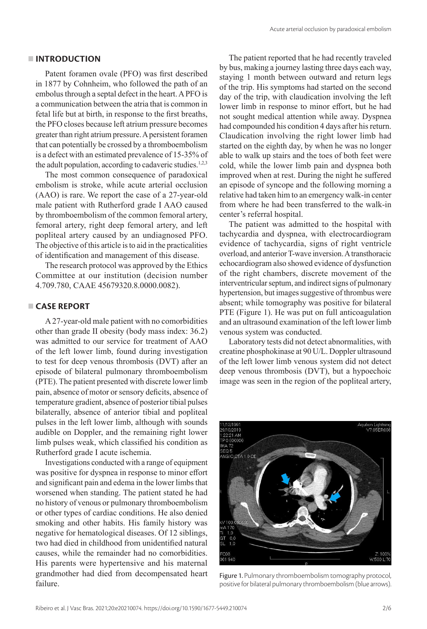#### **INTRODUCTION**

Patent foramen ovale (PFO) was first described in 1877 by Cohnheim, who followed the path of an embolus through a septal defect in the heart. A PFO is a communication between the atria that is common in fetal life but at birth, in response to the first breaths, the PFO closes because left atrium pressure becomes greater than right atrium pressure. A persistent foramen that can potentially be crossed by a thromboembolism is a defect with an estimated prevalence of 15-35% of the adult population, according to cadaveric studies.<sup>1,2,3</sup>

The most common consequence of paradoxical embolism is stroke, while acute arterial occlusion (AAO) is rare. We report the case of a 27-year-old male patient with Rutherford grade I AAO caused by thromboembolism of the common femoral artery, femoral artery, right deep femoral artery, and left popliteal artery caused by an undiagnosed PFO. The objective of this article is to aid in the practicalities of identification and management of this disease.

The research protocol was approved by the Ethics Committee at our institution (decision number 4.709.780, CAAE 45679320.8.0000.0082).

#### **CASE REPORT**

A 27-year-old male patient with no comorbidities other than grade II obesity (body mass index: 36.2) was admitted to our service for treatment of AAO of the left lower limb, found during investigation to test for deep venous thrombosis (DVT) after an episode of bilateral pulmonary thromboembolism (PTE). The patient presented with discrete lower limb pain, absence of motor or sensory deficits, absence of temperature gradient, absence of posterior tibial pulses bilaterally, absence of anterior tibial and popliteal pulses in the left lower limb, although with sounds audible on Doppler, and the remaining right lower limb pulses weak, which classified his condition as Rutherford grade I acute ischemia.

Investigations conducted with a range of equipment was positive for dyspnea in response to minor effort and significant pain and edema in the lower limbs that worsened when standing. The patient stated he had no history of venous or pulmonary thromboembolism or other types of cardiac conditions. He also denied smoking and other habits. His family history was negative for hematological diseases. Of 12 siblings, two had died in childhood from unidentified natural causes, while the remainder had no comorbidities. His parents were hypertensive and his maternal grandmother had died from decompensated heart failure.

The patient reported that he had recently traveled by bus, making a journey lasting three days each way, staying 1 month between outward and return legs of the trip. His symptoms had started on the second day of the trip, with claudication involving the left lower limb in response to minor effort, but he had not sought medical attention while away. Dyspnea had compounded his condition 4 days after his return. Claudication involving the right lower limb had started on the eighth day, by when he was no longer able to walk up stairs and the toes of both feet were cold, while the lower limb pain and dyspnea both improved when at rest. During the night he suffered an episode of syncope and the following morning a relative had taken him to an emergency walk-in center from where he had been transferred to the walk-in center's referral hospital.

The patient was admitted to the hospital with tachycardia and dyspnea, with electrocardiogram evidence of tachycardia, signs of right ventricle overload, and anterior T-wave inversion. A transthoracic echocardiogram also showed evidence of dysfunction of the right chambers, discrete movement of the interventricular septum, and indirect signs of pulmonary hypertension, but images suggestive of thrombus were absent; while tomography was positive for bilateral PTE (Figure 1). He was put on full anticoagulation and an ultrasound examination of the left lower limb venous system was conducted.

Laboratory tests did not detect abnormalities, with creatine phosphokinase at 90 U/L. Doppler ultrasound of the left lower limb venous system did not detect deep venous thrombosis (DVT), but a hypoechoic image was seen in the region of the popliteal artery,



Figure 1. Pulmonary thromboembolism tomography protocol, positive for bilateral pulmonary thromboembolism (blue arrows).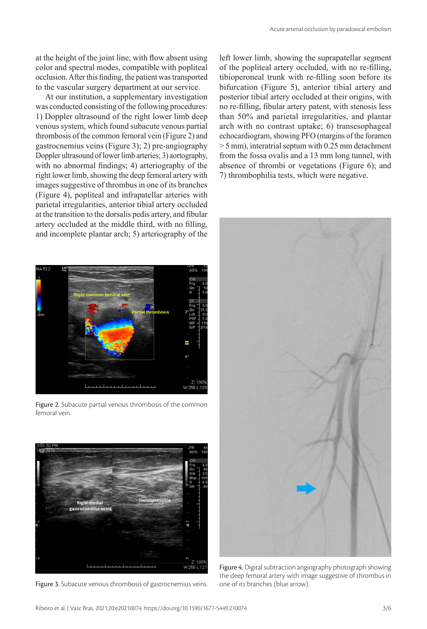at the height of the joint line, with flow absent using color and spectral modes, compatible with popliteal occlusion. After this finding, the patient was transported to the vascular surgery department at our service.

At our institution, a supplementary investigation was conducted consisting of the following procedures: 1) Doppler ultrasound of the right lower limb deep venous system, which found subacute venous partial thrombosis of the common femoral vein (Figure 2) and gastrocnemius veins (Figure 3); 2) pre-angiography Doppler ultrasound of lower limb arteries; 3) aortography, with no abnormal findings; 4) arteriography of the right lower limb, showing the deep femoral artery with images suggestive of thrombus in one of its branches (Figure 4), popliteal and infrapatellar arteries with parietal irregularities, anterior tibial artery occluded at the transition to the dorsalis pedis artery, and fibular artery occluded at the middle third, with no filling, and incomplete plantar arch; 5) arteriography of the



Figure 2. Subacute partial venous thrombosis of the common femoral vein.



Figure 3. Subacute venous thrombosis of gastrocnemius veins.

left lower limb, showing the suprapatellar segment of the popliteal artery occluded, with no re-filling, tibioperoneal trunk with re-filling soon before its bifurcation (Figure 5), anterior tibial artery and posterior tibial artery occluded at their origins, with no re-filling, fibular artery patent, with stenosis less than 50% and parietal irregularities, and plantar arch with no contrast uptake; 6) transesophageal echocardiogram, showing PFO (margins of the foramen > 5 mm), interatrial septum with 0.25 mm detachment from the fossa ovalis and a 13 mm long tunnel, with absence of thrombi or vegetations (Figure 6); and 7) thrombophilia tests, which were negative.



Figure 4. Digital subtraction angiography photograph showing the deep femoral artery with image suggestive of thrombus in one of its branches (blue arrow).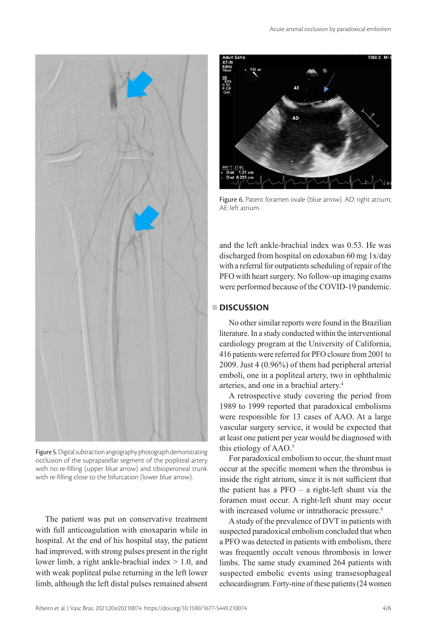



Figure 5. Digital subtraction angiography photograph demonstrating occlusion of the suprapatellar segment of the popliteal artery with no re-filling (upper blue arrow) and tibioperoneal trunk with re-filling close to the bifurcation (lower blue arrow).

The patient was put on conservative treatment with full anticoagulation with enoxaparin while in hospital. At the end of his hospital stay, the patient had improved, with strong pulses present in the right lower limb, a right ankle-brachial index > 1.0, and with weak popliteal pulse returning in the left lower limb, although the left distal pulses remained absent



Figure 6. Patent foramen ovale (blue arrow). AD: right atrium; AE: left atrium.

and the left ankle-brachial index was 0.53. He was discharged from hospital on edoxaban 60 mg 1x/day with a referral for outpatients scheduling of repair of the PFO with heart surgery. No follow-up imaging exams were performed because of the COVID-19 pandemic.

# **DISCUSSION**

No other similar reports were found in the Brazilian literature. In a study conducted within the interventional cardiology program at the University of California, 416 patients were referred for PFO closure from 2001 to 2009. Just 4 (0.96%) of them had peripheral arterial emboli, one in a popliteal artery, two in ophthalmic arteries, and one in a brachial artery.4

A retrospective study covering the period from 1989 to 1999 reported that paradoxical embolisms were responsible for 13 cases of AAO. At a large vascular surgery service, it would be expected that at least one patient per year would be diagnosed with this etiology of AAO.5

For paradoxical embolism to occur, the shunt must occur at the specific moment when the thrombus is inside the right atrium, since it is not sufficient that the patient has a PFO – a right-left shunt via the foramen must occur. A right-left shunt may occur with increased volume or intrathoracic pressure.<sup>6</sup>

A study of the prevalence of DVT in patients with suspected paradoxical embolism concluded that when a PFO was detected in patients with embolism, there was frequently occult venous thrombosis in lower limbs. The same study examined 264 patients with suspected embolic events using transesophageal echocardiogram. Forty-nine of these patients (24 women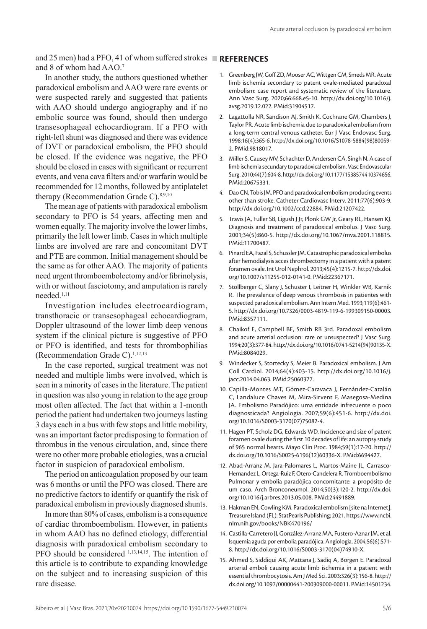and 25 men) had a PFO, 41 of whom suffered strokes **REFERENCES** and 8 of whom had AAO.7

# In another study, the authors questioned whether paradoxical embolism and AAO were rare events or were suspected rarely and suggested that patients with AAO should undergo angiography and if no embolic source was found, should then undergo transesophageal echocardiogram. If a PFO with right-left shunt was diagnosed and there was evidence of DVT or paradoxical embolism, the PFO should be closed. If the evidence was negative, the PFO should be closed in cases with significant or recurrent events, and vena cava filters and/or warfarin would be recommended for 12 months, followed by antiplatelet therapy (Recommendation Grade C).<sup>8,9,10</sup>

The mean age of patients with paradoxical embolism secondary to PFO is 54 years, affecting men and women equally. The majority involve the lower limbs, primarily the left lower limb. Cases in which multiple limbs are involved are rare and concomitant DVT and PTE are common. Initial management should be the same as for other AAO. The majority of patients need urgent thromboembolectomy and/or fibrinolysis, with or without fasciotomy, and amputation is rarely needed.1,11

Investigation includes electrocardiogram, transthoracic or transesophageal echocardiogram, Doppler ultrasound of the lower limb deep venous system if the clinical picture is suggestive of PFO or PFO is identified, and tests for thrombophilias (Recommendation Grade C). $1,12,13$ 

In the case reported, surgical treatment was not needed and multiple limbs were involved, which is seen in a minority of cases in the literature. The patient in question was also young in relation to the age group most often affected. The fact that within a 1-month period the patient had undertaken two journeys lasting 3 days each in a bus with few stops and little mobility, was an important factor predisposing to formation of thrombus in the venous circulation, and, since there were no other more probable etiologies, was a crucial factor in suspicion of paradoxical embolism.

The period on anticoagulation proposed by our team was 6 months or until the PFO was closed. There are no predictive factors to identify or quantify the risk of paradoxical embolism in previously diagnosed shunts.

In more than 80% of cases, embolism is a consequence of cardiac thromboembolism. However, in patients in whom AAO has no defined etiology, differential diagnosis with paradoxical embolism secondary to PFO should be considered <sup>1,13,14,15</sup>. The intention of this article is to contribute to expanding knowledge on the subject and to increasing suspicion of this rare disease.

- 1. Greenberg JW, Goff ZD, Mooser AC, Wittgen CM, Smeds MR. Acute limb ischemia secondary to patent ovale-mediated paradoxal embolism: case report and systematic review of the literature. Ann Vasc Surg. 2020;66:668.e5-10. [http://dx.doi.org/10.1016/j.](https://doi.org/10.1016/j.avsg.2019.12.022) [avsg.2019.12.022](https://doi.org/10.1016/j.avsg.2019.12.022). [PMid:31904517.](https://www.ncbi.nlm.nih.gov/entrez/query.fcgi?cmd=Retrieve&db=PubMed&list_uids=31904517&dopt=Abstract)
- 2. Lagattolla NR, Sandison AJ, Smith K, Cochrane GM, Chambers J, Taylor PR. Acute limb ischemia due to paradoxical embolism from a long-term central venous catheter. Eur J Vasc Endovasc Surg. 1998;16(4):365-6. [http://dx.doi.org/10.1016/S1078-5884\(98\)80059-](https://doi.org/10.1016/S1078-5884(98)80059-2) [2](https://doi.org/10.1016/S1078-5884(98)80059-2). [PMid:9818017.](https://www.ncbi.nlm.nih.gov/entrez/query.fcgi?cmd=Retrieve&db=PubMed&list_uids=9818017&dopt=Abstract)
- 3. Miller S, Causey MV, Schachter D, Andersen CA, Singh N. A case of limb ischemia secundary to paradoxical embolism. Vasc Endovascular Surg. 2010;44(7):604-8. [http://dx.doi.org/10.1177/1538574410374656](https://doi.org/10.1177/1538574410374656). [PMid:20675331.](https://www.ncbi.nlm.nih.gov/entrez/query.fcgi?cmd=Retrieve&db=PubMed&list_uids=20675331&dopt=Abstract)
- 4. Dao CN, Tobis JM. PFO and paradoxical embolism producing events other than stroke. Catheter Cardiovasc Interv. 2011;77(6):903-9. [http://dx.doi.org/10.1002/ccd.22884.](https://doi.org/10.1002/ccd.22884) [PMid:21207422.](https://www.ncbi.nlm.nih.gov/entrez/query.fcgi?cmd=Retrieve&db=PubMed&list_uids=21207422&dopt=Abstract)
- 5. Travis JA, Fuller SB, Ligush J Jr, Plonk GW Jr, Geary RL, Hansen KJ. Diagnosis and treatment of paradoxical embolus. J Vasc Surg. 2001;34(5):860-5. [http://dx.doi.org/10.1067/mva.2001.118815](https://doi.org/10.1067/mva.2001.118815). [PMid:11700487.](https://www.ncbi.nlm.nih.gov/entrez/query.fcgi?cmd=Retrieve&db=PubMed&list_uids=11700487&dopt=Abstract)
- 6. Pinard EA, Fazal S, Schussler JM. Catastrophic paradoxical embolus after hemodialysis acces thrombectomy in a patient with a patent foramen ovale. Int Urol Nephrol. 2013;45(4):1215-7. [http://dx.doi.](https://doi.org/10.1007/s11255-012-0141-0) [org/10.1007/s11255-012-0141-0](https://doi.org/10.1007/s11255-012-0141-0)[. PMid:22367171.](https://www.ncbi.nlm.nih.gov/entrez/query.fcgi?cmd=Retrieve&db=PubMed&list_uids=22367171&dopt=Abstract)
- 7. Stöllberger C, Slany J, Schuster I, Leitner H, Winkler WB, Karnik R. The prevalence of deep venous thrombosis in patientes with suspected paradoxical embolism. Ann Intern Med. 1993;119(6):461- 5. [http://dx.doi.org/10.7326/0003-4819-119-6-199309150-00003](https://doi.org/10.7326/0003-4819-119-6-199309150-00003). [PMid:8357111.](https://www.ncbi.nlm.nih.gov/entrez/query.fcgi?cmd=Retrieve&db=PubMed&list_uids=8357111&dopt=Abstract)
- 8. Chaikof E, Campbell BE, Smith RB 3rd. Paradoxal embolism and acute arterial occlusion: rare or unsuspected? J Vasc Surg. 1994;20(3):377-84. [http://dx.doi.org/10.1016/0741-5214\(94\)90135-X](https://doi.org/10.1016/0741-5214(94)90135-X). [PMid:8084029.](https://www.ncbi.nlm.nih.gov/entrez/query.fcgi?cmd=Retrieve&db=PubMed&list_uids=8084029&dopt=Abstract)
- 9. Windecker S, Stortecky S, Meier B. Paradoxical embolism. J Am Coll Cardiol. 2014;64(4):403-15. [http://dx.doi.org/10.1016/j.](https://doi.org/10.1016/j.jacc.2014.04.063) [jacc.2014.04.063](https://doi.org/10.1016/j.jacc.2014.04.063)[. PMid:25060377.](https://www.ncbi.nlm.nih.gov/entrez/query.fcgi?cmd=Retrieve&db=PubMed&list_uids=25060377&dopt=Abstract)
- 10. Capilla-Montes MT, Gómez-Caravaca J, Fernández-Catalán C, Landaluce Chaves M, Mira-Sirvent F, Masegosa-Medina JA. Embolismo Paradójico: uma entidade infrecuente o poco diagnosticada? Angiologia. 2007;59(6):451-6. [http://dx.doi.](https://doi.org/10.1016/S0003-3170(07)75082-4) [org/10.1016/S0003-3170\(07\)75082-4.](https://doi.org/10.1016/S0003-3170(07)75082-4)
- 11. Hagen PT, Scholz DG, Edwards WD. Incidence and size of patent foramen ovale during the first 10 decades of life: an autopsy study of 965 normal hearts. Mayo Clin Proc. 1984;59(1):17-20. [http://](https://doi.org/10.1016/S0025-6196(12)60336-X) [dx.doi.org/10.1016/S0025-6196\(12\)60336-X](https://doi.org/10.1016/S0025-6196(12)60336-X)[. PMid:6694427.](https://www.ncbi.nlm.nih.gov/entrez/query.fcgi?cmd=Retrieve&db=PubMed&list_uids=6694427&dopt=Abstract)
- 12. Abad-Arranz M, Jara-Palomares L, Martos-Maine JL, Carrasco-Hernandez L, Ortega-Ruiz F, Otero-Candelera R. Tromboembolismo Pulmonar y embolia paradójica concomitante: a propósito de um caso. Arch Bronconeumol. 2014;50(3):120-2. http://dx.doi. org/10.1016/j.arbres.2013.05.008. [PMid:24491889.](https://www.ncbi.nlm.nih.gov/entrez/query.fcgi?cmd=Retrieve&db=PubMed&list_uids=24491889&dopt=Abstract)
- 13. Hakman EN, Cowling KM. Paradoxical embolism [site na Internet]. Treasure Island (FL): StatPearls Publishing; 2021. https://www.ncbi. nlm.nih.gov/books/NBK470196/
- 14. Castilla-Carretero JJ, González-Arranz MA, Fustero-Aznar JM, et al. Isquemia aguda por embolia paradójica. Angiologia. 2004;56(6):571- 8. [http://dx.doi.org/10.1016/S0003-3170\(04\)74910-X](https://doi.org/10.1016/S0003-3170(04)74910-X).
- 15. Ahmed S, Siddiqui AK, Mattana J, Sadiq A, Borgen E. Paradoxal arterial emboli causing acute limb ischemia in a patient with essential thrombocytosis. Am J Med Sci. 2003;326(3):156-8. [http://](https://doi.org/10.1097/00000441-200309000-00011) [dx.doi.org/10.1097/00000441-200309000-00011](https://doi.org/10.1097/00000441-200309000-00011)[. PMid:14501234.](https://www.ncbi.nlm.nih.gov/entrez/query.fcgi?cmd=Retrieve&db=PubMed&list_uids=14501234&dopt=Abstract)